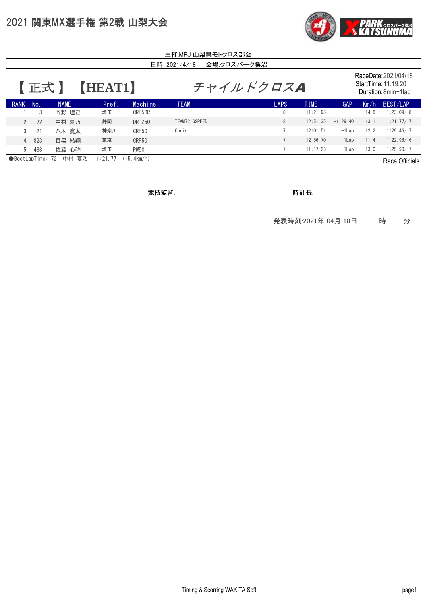## 2021 関東MX選手権 第2戦 山梨大会



| 主催:MFJ 山梨県モトクロス部会                                                    |     |             |       |             |               |                 |             |                                                                    |      |           |  |
|----------------------------------------------------------------------|-----|-------------|-------|-------------|---------------|-----------------|-------------|--------------------------------------------------------------------|------|-----------|--|
| 会場:クロスパーク勝沼<br>日時: 2021/4/18                                         |     |             |       |             |               |                 |             |                                                                    |      |           |  |
| 【正式】<br>HEAT1                                                        |     |             |       |             | チャイルドクロスA     |                 |             | RaceDate: 2021/04/18<br>StartTime: 11:19:20<br>Duration: 8min+1lap |      |           |  |
| <b>RANK</b>                                                          | No. | <b>NAME</b> | Pref. | Machine     | <b>TEAM</b>   | <b>LAPS</b>     | <b>TIME</b> | GAP                                                                | Km/h | BEST/LAP  |  |
|                                                                      | 3   | 岡野 煌己       | 埼玉    | CRF50R      |               | 8               | 11:21.95    | $\overline{\phantom{0}}$                                           | 14.8 | 1:23.09/8 |  |
| $\mathcal{P}$                                                        | 72  | 中村 夏乃       | 静岡    | $DR - Z50$  | TEAM72 GSPEED | 8               | 12:51.35    | $+1:29.40$                                                         | 13.1 | 1:21.77/7 |  |
| $\mathcal{S}$                                                        | 21  | 八木 寛太       | 神奈川   | CRF50       | Caris         | $\overline{7}$  | 12:01.51    | $-ILap$                                                            | 12.2 | 1:29.46/7 |  |
| $\overline{4}$                                                       | 823 | 目黒 結翔       | 東京    | CRF50       |               | $7\overline{ }$ | 12:56.70    | $-1$ Lap                                                           | 11.4 | 1:22.98/6 |  |
| 5                                                                    | 488 | 佐藤 心弥       | 埼玉    | <b>PW50</b> |               | $\overline{7}$  | 11:17.23    | $-ILap$                                                            | 13.0 | 1:25.90/7 |  |
| ●BestLapTime: 72<br>中村 夏乃<br>(15.4km/h)<br>1:21.77<br>Race Officials |     |             |       |             |               |                 |             |                                                                    |      |           |  |

競技監督:

時計長:

発表時刻:2021年 04月 18日 時 分